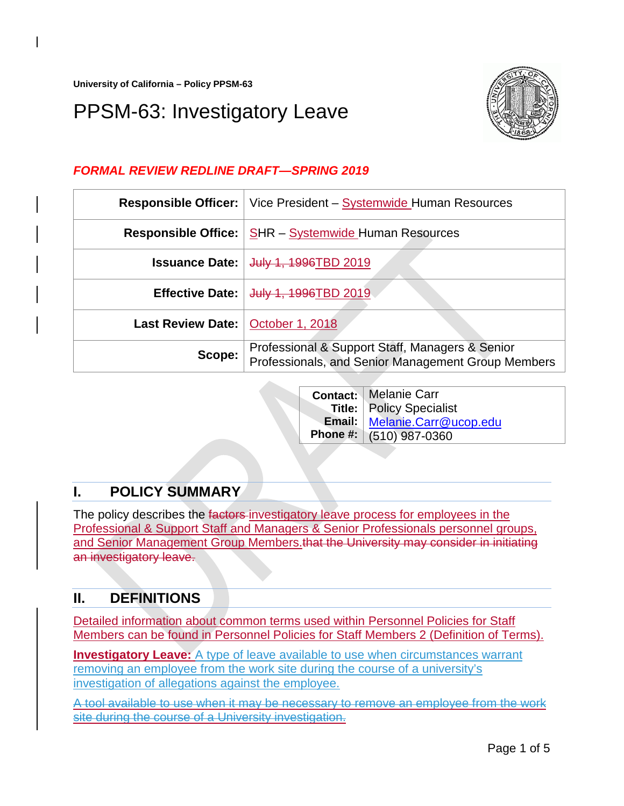**University of California – Policy PPSM-63**

# PPSM-63: Investigatory Leave



## *FORMAL REVIEW REDLINE DRAFT—SPRING 2019*

| <b>Responsible Officer:</b> | Vice President – Systemwide Human Resources                                                           |
|-----------------------------|-------------------------------------------------------------------------------------------------------|
| <b>Responsible Office:</b>  | <b>SHR</b> – Systemwide Human Resources                                                               |
| <b>Issuance Date:</b>       | July 1, 1996TBD 2019                                                                                  |
| <b>Effective Date:</b>      | July 1, 1996TBD 2019                                                                                  |
| Last Review Date:           | <b>October 1, 2018</b>                                                                                |
| Scope:                      | Professional & Support Staff, Managers & Senior<br>Professionals, and Senior Management Group Members |

|  | <b>Contact: Melanie Carr</b>    |
|--|---------------------------------|
|  | <b>Title:</b> Policy Specialist |
|  | Email: Melanie.Carr@ucop.edu    |
|  | Phone #: (510) 987-0360         |

# **I. POLICY SUMMARY**

The policy describes the factors investigatory leave process for employees in the Professional & Support Staff and Managers & Senior Professionals personnel groups, and Senior Management Group Members.that the University may consider in initiating an investigatory leave.

# **II. DEFINITIONS**

Detailed information about common terms used within Personnel Policies for Staff Members can be found in [Personnel Policies for Staff Members 2 \(Definition of Terms\).](https://policy.ucop.edu/doc/4010389)

**Investigatory Leave:** A type of leave available to use when circumstances warrant removing an employee from the work site during the course of a university's investigation of allegations against the employee.

A tool available to use when it may be necessary to remove an employee from the work site during the course of a University investigation.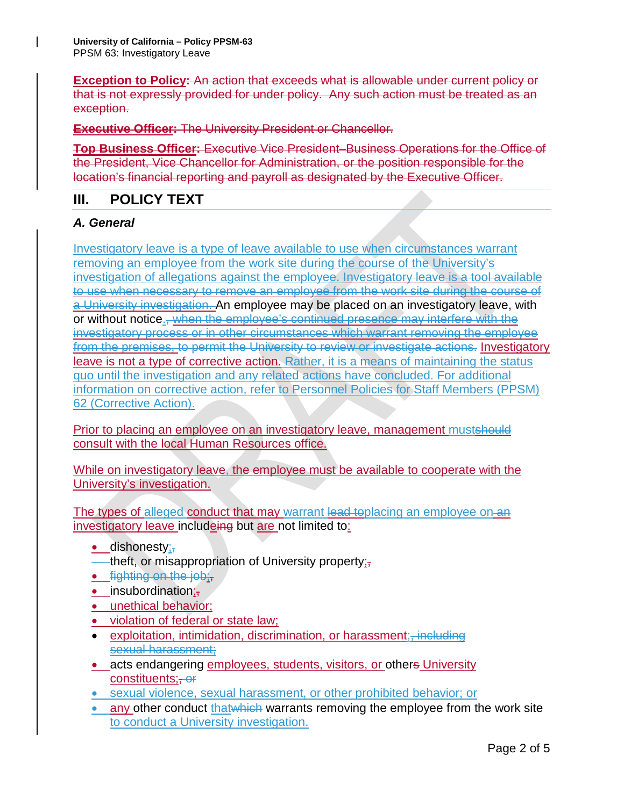**Exception to Policy:** An action that exceeds what is allowable under current policy or that is not expressly provided for under policy. Any such action must be treated as an exception.

**Executive Officer:** The University President or Chancellor.

**Top Business Officer:** Executive Vice President–Business Operations for the Office of the President, Vice Chancellor for Administration, or the position responsible for the location's financial reporting and payroll as designated by the Executive Officer.

### **III. POLICY TEXT**

#### *A. General*

Investigatory leave is a type of leave available to use when circumstances warrant removing an employee from the work site during the course of the University's investigation of allegations against the employee. Investigatory leave is a tool available to use when necessary to remove an employee from the work site during the course of a University investigation. An employee may be placed on an investigatory leave, with or without notice., when the employee's continued presence may interfere with the investigatory process or in other circumstances which warrant removing the employee from the premises, to permit the University to review or investigate actions. Investigatory leave is not a type of corrective action. Rather, it is a means of maintaining the status quo until the investigation and any related actions have concluded. For additional information on corrective action, refer to [Personnel Policies](https://policy.ucop.edu/doc/4010411/PPSM-62) for Staff Members (PPSM) 62 [\(Corrective Action\).](https://policy.ucop.edu/doc/4010411/PPSM-62)

Prior to placing an employee on an investigatory leave, management mustshould consult with the local Human Resources office.

While on investigatory leave, the employee must be available to cooperate with the University's investigation.

The types of alleged conduct that may warrant lead toplacing an employee on an investigatory leave includeing but are not limited to:

- $\bullet$  dishonesty;
- theft, or misappropriation of University property $\overline{r}$ ,
- **•** fighting on the job;
- $\bullet$  insubordination; $\frac{1}{2}$
- unethical behavior;
- violation of federal or state law;
- exploitation, intimidation, discrimination, or harassment; including sexual harassment;
- acts endangering employees, students, visitors, or others University constituents: <del>or</del>
- sexual violence, sexual harassment, or other prohibited behavior; or
- any other conduct that which warrants removing the employee from the work site to conduct a University investigation.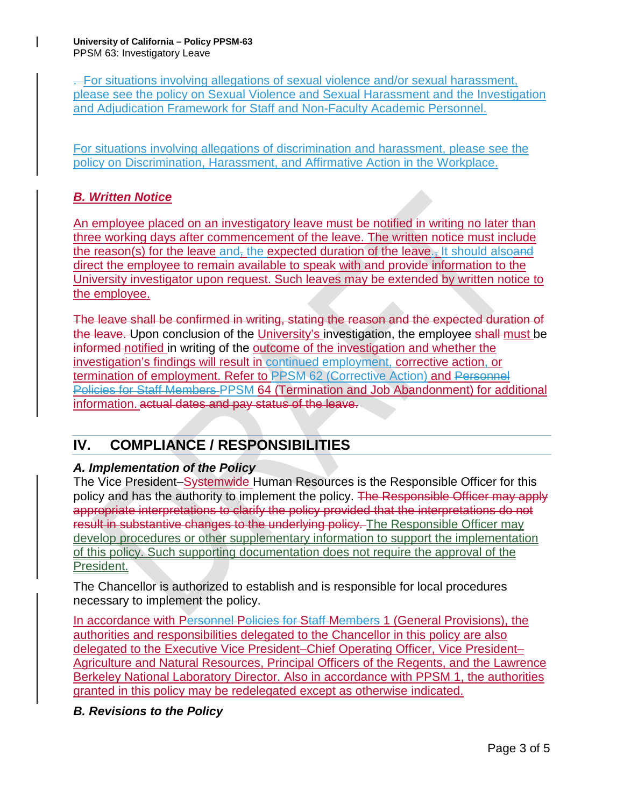. For situations involving allegations of sexual violence and/or sexual harassment, please see the policy on [Sexual Violence and Sexual Harassment](https://policy.ucop.edu/doc/4000385/SVSH) and the [Investigation](http://sexualviolence.universityofcalifornia.edu/files/documents/Staff-NFAP-SVSH-Investigation-and-Adjudication-Framework-and-Flowcharts.062917.pdf)  [and Adjudication Framework for Staff and Non-Faculty Academic Personnel.](http://sexualviolence.universityofcalifornia.edu/files/documents/Staff-NFAP-SVSH-Investigation-and-Adjudication-Framework-and-Flowcharts.062917.pdf)

For situations involving allegations of discrimination and harassment, please see the policy on [Discrimination, Harassment, and Affirmative Action in the Workplace.](https://policy.ucop.edu/doc/4000376/DiscHarassAffirmAction)

## *B. Written Notice*

An employee placed on an investigatory leave must be notified in writing no later than three working days after commencement of the leave. The written notice must include the reason(s) for the leave and, the expected duration of the leave., It should also and direct the employee to remain available to speak with and provide information to the University investigator upon request. Such leaves may be extended by written notice to the employee.

The leave shall be confirmed in writing, stating the reason and the expected duration of the leave. Upon conclusion of the University's investigation, the employee shall must be informed notified in writing of the outcome of the investigation and whether the investigation's findings will result in continued employment, corrective action, or termination of employment. Refer to PPSM [62 \(Corrective Action\)](https://policy.ucop.edu/doc/4010411/PPSM-62) and Personnel [Policies for Staff Members PPSM 64 \(Termination and Job Abandonment\)](https://policy.ucop.edu/doc/4010413/) for additional information. actual dates and pay status of the leave.

# **IV. COMPLIANCE / RESPONSIBILITIES**

#### *A. Implementation of the Policy*

The Vice President–Systemwide Human Resources is the Responsible Officer for this policy and has the authority to implement the policy. The Responsible Officer may apply appropriate interpretations to clarify the policy provided that the interpretations do not result in substantive changes to the underlying policy. The Responsible Officer may develop procedures or other supplementary information to support the implementation of this policy. Such supporting documentation does not require the approval of the President.

The Chancellor is authorized to establish and is responsible for local procedures necessary to implement the policy.

In accordance with [Personnel Policies for Staff Members](http://policy.ucop.edu/doc/4010388) 1 (General Provisions), the authorities and responsibilities delegated to the Chancellor in this policy are also delegated to the Executive Vice President–Chief Operating Officer, Vice President– Agriculture and Natural Resources, Principal Officers of the Regents, and the Lawrence Berkeley National Laboratory Director. Also in accordance with [PPSM 1,](http://policy.ucop.edu/doc/4010388) the authorities granted in this policy may be redelegated except as otherwise indicated.

## *B. Revisions to the Policy*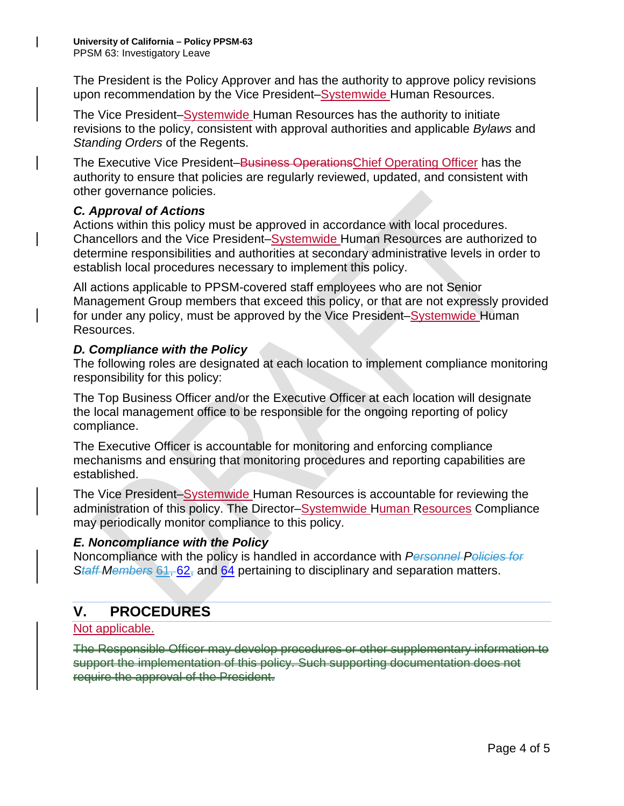The President is the Policy Approver and has the authority to approve policy revisions upon recommendation by the Vice President–Systemwide Human Resources.

The Vice President–Systemwide Human Resources has the authority to initiate revisions to the policy, consistent with approval authorities and applicable *Bylaws* and *Standing Orders* of the Regents.

The Executive Vice President–Business OperationsChief Operating Officer has the authority to ensure that policies are regularly reviewed, updated, and consistent with other governance policies.

#### *C. Approval of Actions*

Actions within this policy must be approved in accordance with local procedures. Chancellors and the Vice President–Systemwide Human Resources are authorized to determine responsibilities and authorities at secondary administrative levels in order to establish local procedures necessary to implement this policy.

All actions applicable to PPSM-covered staff employees who are not Senior Management Group members that exceed this policy, or that are not expressly provided for under any policy, must be approved by the Vice President–Systemwide Human Resources.

#### *D. Compliance with the Policy*

The following roles are designated at each location to implement compliance monitoring responsibility for this policy:

The Top Business Officer and/or the Executive Officer at each location will designate the local management office to be responsible for the ongoing reporting of policy compliance.

The Executive Officer is accountable for monitoring and enforcing compliance mechanisms and ensuring that monitoring procedures and reporting capabilities are established.

The Vice President–Systemwide Human Resources is accountable for reviewing the administration of this policy. The Director–Systemwide Human Resources Compliance may periodically monitor compliance to this policy.

#### *E. Noncompliance with the Policy*

Noncompliance with the policy is handled in accordance with *Personnel Policies for Staff Members* 61, [62,](http://policy.ucop.edu/doc/4010411) and [64](http://policy.ucop.edu/doc/4010413) pertaining to disciplinary and separation matters.

# **V. PROCEDURES**

#### Not applicable.

The Responsible Officer may develop procedures or other supplementary information to support the implementation of this policy. Such supporting documentation does not require the approval of the President.